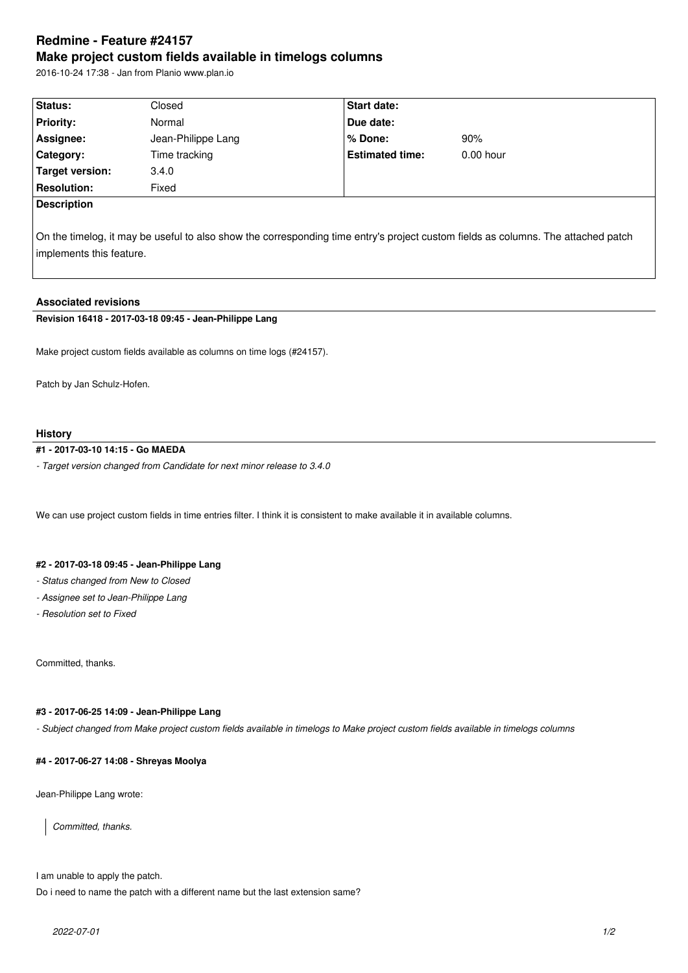# **Redmine - Feature #24157 Make project custom fields available in timelogs columns**

2016-10-24 17:38 - Jan from Planio www.plan.io

| Status:            | Closed             | <b>Start date:</b>     |             |
|--------------------|--------------------|------------------------|-------------|
| <b>Priority:</b>   | Normal             | Due date:              |             |
| Assignee:          | Jean-Philippe Lang | % Done:                | 90%         |
| Category:          | Time tracking      | <b>Estimated time:</b> | $0.00$ hour |
| Target version:    | 3.4.0              |                        |             |
| <b>Resolution:</b> | Fixed              |                        |             |
| <b>Description</b> |                    |                        |             |
|                    |                    |                        |             |

On the timelog, it may be useful to also show the corresponding time entry's project custom fields as columns. The attached patch implements this feature.

## **Associated revisions**

## **Revision 16418 - 2017-03-18 09:45 - Jean-Philippe Lang**

Make project custom fields available as columns on time logs (#24157).

Patch by Jan Schulz-Hofen.

#### **History**

# **#1 - 2017-03-10 14:15 - Go MAEDA**

*- Target version changed from Candidate for next minor release to 3.4.0*

We can use project custom fields in time entries filter. I think it is consistent to make available it in available columns.

#### **#2 - 2017-03-18 09:45 - Jean-Philippe Lang**

- *Status changed from New to Closed*
- *Assignee set to Jean-Philippe Lang*
- *Resolution set to Fixed*

Committed, thanks.

#### **#3 - 2017-06-25 14:09 - Jean-Philippe Lang**

*- Subject changed from Make project custom fields available in timelogs to Make project custom fields available in timelogs columns*

## **#4 - 2017-06-27 14:08 - Shreyas Moolya**

Jean-Philippe Lang wrote:

*Committed, thanks.*

I am unable to apply the patch.

Do i need to name the patch with a different name but the last extension same?